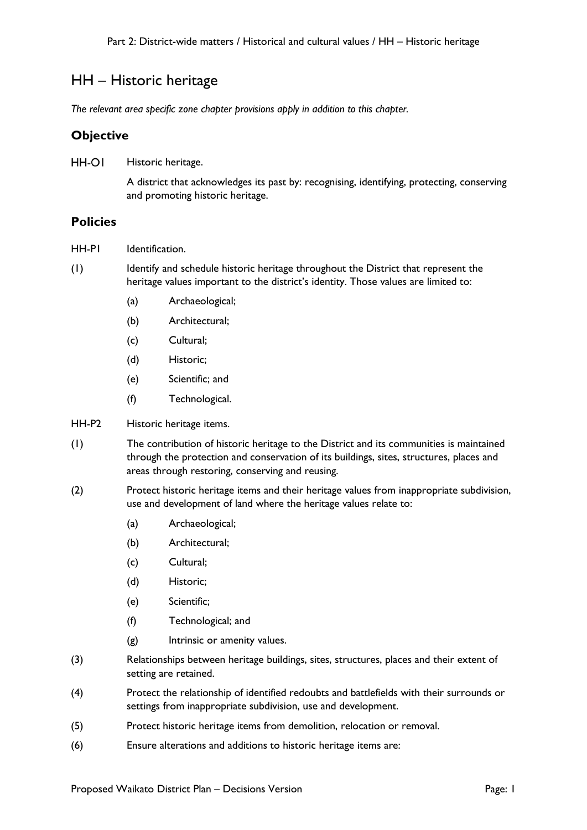# HH – Historic heritage

*The relevant area specific zone chapter provisions apply in addition to this chapter.*

## **Objective**

HH-OI Historic heritage.

> A district that acknowledges its past by: recognising, identifying, protecting, conserving and promoting historic heritage.

### **Policies**

- HH-PI Identification.
- (1) Identify and schedule historic heritage throughout the District that represent the heritage values important to the district's identity. Those values are limited to:
	- (a) Archaeological;
	- (b) Architectural;
	- (c) Cultural;
	- (d) Historic;
	- (e) Scientific; and
	- (f) Technological.

#### HH-P2 Historic heritage items.

- (1) The contribution of historic heritage to the District and its communities is maintained through the protection and conservation of its buildings, sites, structures, places and areas through restoring, conserving and reusing.
- (2) Protect historic heritage items and their heritage values from inappropriate subdivision, use and development of land where the heritage values relate to:
	- (a) Archaeological;
	- (b) Architectural;
	- (c) Cultural;
	- (d) Historic;
	- (e) Scientific;
	- (f) Technological; and
	- (g) Intrinsic or amenity values.
- (3) Relationships between heritage buildings, sites, structures, places and their extent of setting are retained.
- (4) Protect the relationship of identified redoubts and battlefields with their surrounds or settings from inappropriate subdivision, use and development.
- (5) Protect historic heritage items from demolition, relocation or removal.
- (6) Ensure alterations and additions to historic heritage items are: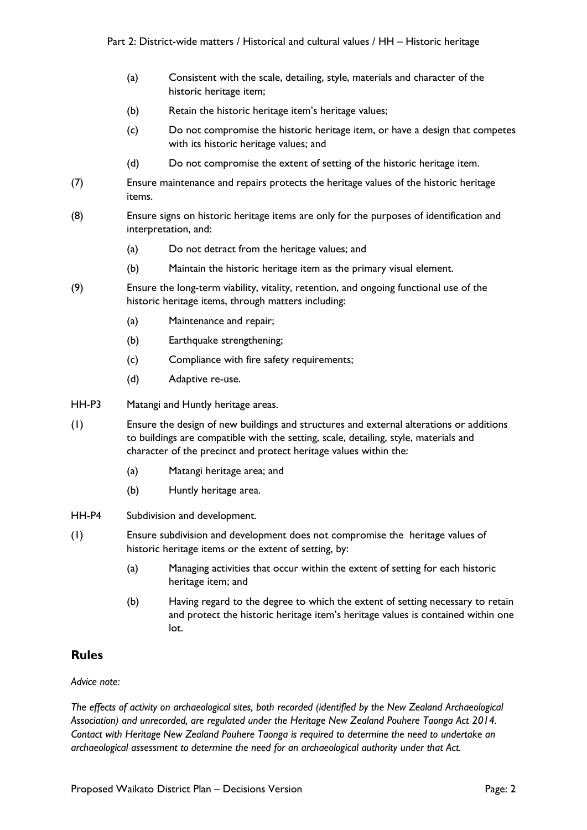- (a) Consistent with the scale, detailing, style, materials and character of the historic heritage item;
- (b) Retain the historic heritage item's heritage values;
- (c) Do not compromise the historic heritage item, or have a design that competes with its historic heritage values; and
- (d) Do not compromise the extent of setting of the historic heritage item.
- (7) Ensure maintenance and repairs protects the heritage values of the historic heritage items.
- (8) Ensure signs on historic heritage items are only for the purposes of identification and interpretation, and:
	- (a) Do not detract from the heritage values; and
	- (b) Maintain the historic heritage item as the primary visual element.
- (9) Ensure the long-term viability, vitality, retention, and ongoing functional use of the historic heritage items, through matters including:
	- (a) Maintenance and repair;
	- (b) Earthquake strengthening:
	- (c) Compliance with fire safety requirements;
	- (d) Adaptive re-use.
- HH-P3 Matangi and Huntly heritage areas.
- (1) Ensure the design of new buildings and structures and external alterations or additions to buildings are compatible with the setting, scale, detailing, style, materials and character of the precinct and protect heritage values within the:
	- (a) Matangi heritage area; and
	- (b) Huntly heritage area.
- HH-P4 Subdivision and development.
- (1) Ensure subdivision and development does not compromise the heritage values of historic heritage items or the extent of setting, by:
	- (a) Managing activities that occur within the extent of setting for each historic heritage item; and
	- (b) Having regard to the degree to which the extent of setting necessary to retain and protect the historic heritage item's heritage values is contained within one lot.

### **Rules**

#### *Advice note:*

*The effects of activity on archaeological sites, both recorded (identified by the New Zealand Archaeological Association) and unrecorded, are regulated under the Heritage New Zealand Pouhere Taonga Act 2014. Contact with Heritage New Zealand Pouhere Taonga is required to determine the need to undertake an archaeological assessment to determine the need for an archaeological authority under that Act.*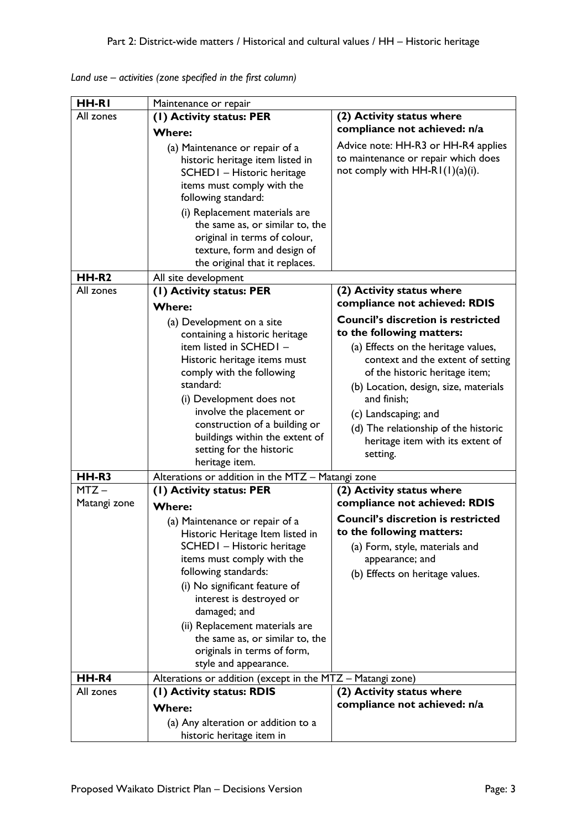| HH-RI        | Maintenance or repair                                              |                                           |
|--------------|--------------------------------------------------------------------|-------------------------------------------|
| All zones    | (1) Activity status: PER                                           | (2) Activity status where                 |
|              | <b>Where:</b>                                                      | compliance not achieved: n/a              |
|              | (a) Maintenance or repair of a                                     | Advice note: HH-R3 or HH-R4 applies       |
|              | historic heritage item listed in                                   | to maintenance or repair which does       |
|              | SCHEDI - Historic heritage                                         | not comply with $HH-R1(1)(a)(i)$ .        |
|              | items must comply with the                                         |                                           |
|              | following standard:                                                |                                           |
|              | (i) Replacement materials are                                      |                                           |
|              | the same as, or similar to, the                                    |                                           |
|              | original in terms of colour,                                       |                                           |
|              | texture, form and design of                                        |                                           |
|              | the original that it replaces.                                     |                                           |
| HH-R2        | All site development                                               |                                           |
| All zones    | (1) Activity status: PER                                           | (2) Activity status where                 |
|              | <b>Where:</b>                                                      | compliance not achieved: RDIS             |
|              | (a) Development on a site                                          | <b>Council's discretion is restricted</b> |
|              | containing a historic heritage                                     | to the following matters:                 |
|              | item listed in SCHEDI-                                             | (a) Effects on the heritage values,       |
|              | Historic heritage items must                                       | context and the extent of setting         |
|              | comply with the following                                          | of the historic heritage item;            |
|              | standard:                                                          | (b) Location, design, size, materials     |
|              | (i) Development does not                                           | and finish;                               |
|              | involve the placement or                                           | (c) Landscaping; and                      |
|              | construction of a building or                                      | (d) The relationship of the historic      |
|              | buildings within the extent of<br>setting for the historic         | heritage item with its extent of          |
|              | heritage item.                                                     | setting.                                  |
| HH-R3        | Alterations or addition in the MTZ - Matangi zone                  |                                           |
| $MTZ -$      | (I) Activity status: PER                                           | (2) Activity status where                 |
| Matangi zone | <b>Where:</b>                                                      | compliance not achieved: RDIS             |
|              |                                                                    | <b>Council's discretion is restricted</b> |
|              | (a) Maintenance or repair of a<br>Historic Heritage Item listed in | to the following matters:                 |
|              | SCHED I - Historic heritage                                        | (a) Form, style, materials and            |
|              | items must comply with the                                         | appearance; and                           |
|              | following standards:                                               | (b) Effects on heritage values.           |
|              | (i) No significant feature of                                      |                                           |
|              | interest is destroyed or                                           |                                           |
|              | damaged; and                                                       |                                           |
|              | (ii) Replacement materials are                                     |                                           |
|              | the same as, or similar to, the                                    |                                           |
|              | originals in terms of form,                                        |                                           |
|              | style and appearance.                                              |                                           |
| HH-R4        | Alterations or addition (except in the MTZ - Matangi zone)         |                                           |
| All zones    | (1) Activity status: RDIS                                          | (2) Activity status where                 |
|              | <b>Where:</b>                                                      | compliance not achieved: n/a              |
|              | (a) Any alteration or addition to a                                |                                           |
|              | historic heritage item in                                          |                                           |

*Land use – activities (zone specified in the first column)*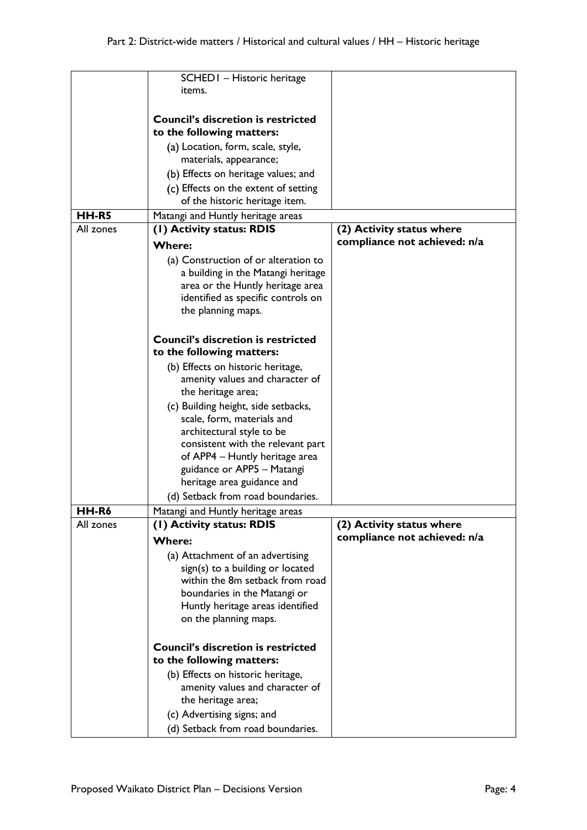|           | SCHED I - Historic heritage                                            |                              |
|-----------|------------------------------------------------------------------------|------------------------------|
|           | items.                                                                 |                              |
|           |                                                                        |                              |
|           | <b>Council's discretion is restricted</b>                              |                              |
|           | to the following matters:                                              |                              |
|           | (a) Location, form, scale, style,                                      |                              |
|           | materials, appearance;                                                 |                              |
|           | (b) Effects on heritage values; and                                    |                              |
|           |                                                                        |                              |
|           | (c) Effects on the extent of setting<br>of the historic heritage item. |                              |
|           |                                                                        |                              |
| HH-R5     | Matangi and Huntly heritage areas                                      |                              |
| All zones | (1) Activity status: RDIS                                              | (2) Activity status where    |
|           | <b>Where:</b>                                                          | compliance not achieved: n/a |
|           | (a) Construction of or alteration to                                   |                              |
|           | a building in the Matangi heritage                                     |                              |
|           | area or the Huntly heritage area                                       |                              |
|           | identified as specific controls on                                     |                              |
|           | the planning maps.                                                     |                              |
|           |                                                                        |                              |
|           | <b>Council's discretion is restricted</b>                              |                              |
|           | to the following matters:                                              |                              |
|           |                                                                        |                              |
|           | (b) Effects on historic heritage,                                      |                              |
|           | amenity values and character of                                        |                              |
|           | the heritage area;                                                     |                              |
|           | (c) Building height, side setbacks,                                    |                              |
|           | scale, form, materials and                                             |                              |
|           | architectural style to be                                              |                              |
|           | consistent with the relevant part                                      |                              |
|           | of APP4 - Huntly heritage area                                         |                              |
|           | guidance or APP5 - Matangi                                             |                              |
|           | heritage area guidance and                                             |                              |
|           | (d) Setback from road boundaries.                                      |                              |
| HH-R6     | Matangi and Huntly heritage areas                                      |                              |
| All zones | (1) Activity status: RDIS                                              | (2) Activity status where    |
|           | <b>Where:</b>                                                          | compliance not achieved: n/a |
|           | (a) Attachment of an advertising                                       |                              |
|           | sign(s) to a building or located                                       |                              |
|           | within the 8m setback from road                                        |                              |
|           | boundaries in the Matangi or                                           |                              |
|           | Huntly heritage areas identified                                       |                              |
|           | on the planning maps.                                                  |                              |
|           |                                                                        |                              |
|           | <b>Council's discretion is restricted</b>                              |                              |
|           | to the following matters:                                              |                              |
|           |                                                                        |                              |
|           | (b) Effects on historic heritage,                                      |                              |
|           | amenity values and character of<br>the heritage area;                  |                              |
|           |                                                                        |                              |
|           | (c) Advertising signs; and                                             |                              |
|           | (d) Setback from road boundaries.                                      |                              |